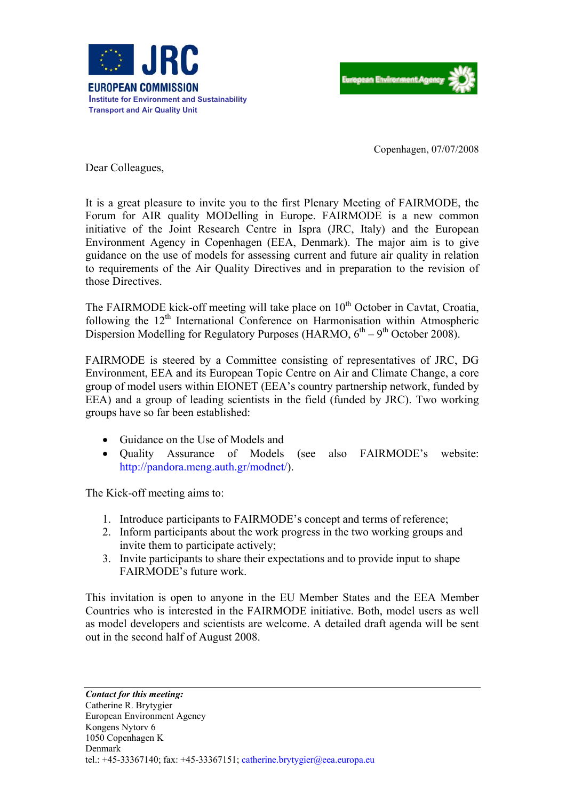



Copenhagen, 07/07/2008

Dear Colleagues,

It is a great pleasure to invite you to the first Plenary Meeting of FAIRMODE, the Forum for AIR quality MODelling in Europe. FAIRMODE is a new common initiative of the Joint Research Centre in Ispra (JRC, Italy) and the European Environment Agency in Copenhagen (EEA, Denmark). The major aim is to give guidance on the use of models for assessing current and future air quality in relation to requirements of the Air Quality Directives and in preparation to the revision of those Directives.

The FAIRMODE kick-off meeting will take place on  $10<sup>th</sup>$  October in Cavtat, Croatia, following the 12<sup>th</sup> International Conference on Harmonisation within Atmospheric Dispersion Modelling for Regulatory Purposes (HARMO,  $6^{th} - 9^{th}$  October 2008).

FAIRMODE is steered by a Committee consisting of representatives of JRC, DG Environment, EEA and its European Topic Centre on Air and Climate Change, a core group of model users within EIONET (EEA's country partnership network, funded by EEA) and a group of leading scientists in the field (funded by JRC). Two working groups have so far been established:

- Guidance on the Use of Models and
- Quality Assurance of Models (see also FAIRMODE's website: <http://pandora.meng.auth.gr/modnet/>).

The Kick-off meeting aims to:

- 1. Introduce participants to FAIRMODE's concept and terms of reference;
- 2. Inform participants about the work progress in the two working groups and invite them to participate actively;
- 3. Invite participants to share their expectations and to provide input to shape FAIRMODE's future work.

This invitation is open to anyone in the EU Member States and the EEA Member Countries who is interested in the FAIRMODE initiative. Both, model users as well as model developers and scientists are welcome. A detailed draft agenda will be sent out in the second half of August 2008.